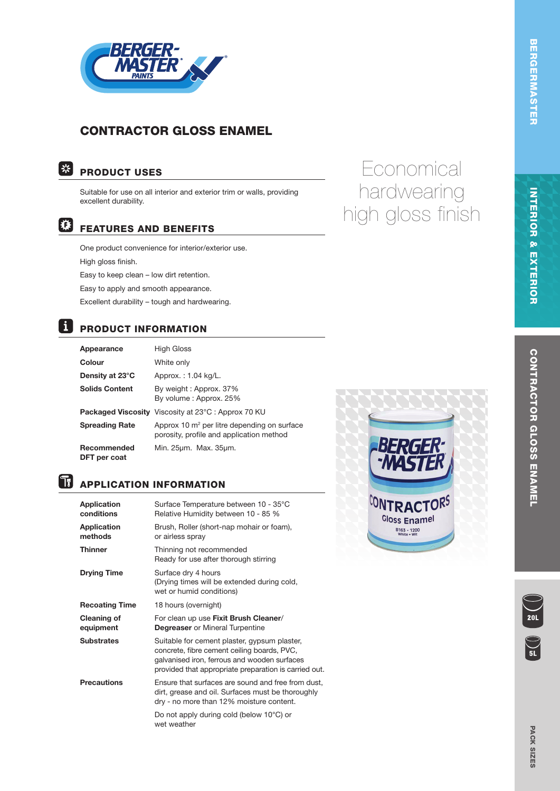

# CONTRACTOR GLOSS ENAMEL

#### | \* PRODUCT USES

Suitable for use on all interior and exterior trim or walls, providing excellent durability.

#### 檪 FEATURES AND BENEFITS

One product convenience for interior/exterior use. High gloss finish. Easy to keep clean – low dirt retention. Easy to apply and smooth appearance. Excellent durability – tough and hardwearing.

# **PRODUCT INFORMATION**

| Appearance                  | <b>High Gloss</b>                                                                                   |
|-----------------------------|-----------------------------------------------------------------------------------------------------|
| Colour                      | White only                                                                                          |
| Density at 23°C             | Approx.: 1.04 kg/L.                                                                                 |
| <b>Solids Content</b>       | By weight: Approx. 37%<br>By volume: Approx. 25%                                                    |
|                             | <b>Packaged Viscosity</b> Viscosity at 23°C: Approx 70 KU                                           |
| <b>Spreading Rate</b>       | Approx 10 m <sup>2</sup> per litre depending on surface<br>porosity, profile and application method |
| Recommended<br>DFT per coat | Min. 25um. Max. 35um.                                                                               |

# $|\tilde{\mathbf{u}}|$

## APPLICATION INFORMATION

| Application<br>conditions | Surface Temperature between 10 - 35°C<br>Relative Humidity between 10 - 85 %                                                                                                                         |
|---------------------------|------------------------------------------------------------------------------------------------------------------------------------------------------------------------------------------------------|
| Application<br>methods    | Brush, Roller (short-nap mohair or foam),<br>or airless spray                                                                                                                                        |
| Thinner                   | Thinning not recommended<br>Ready for use after thorough stirring                                                                                                                                    |
| <b>Drying Time</b>        | Surface dry 4 hours<br>(Drying times will be extended during cold,<br>wet or humid conditions)                                                                                                       |
| <b>Recoating Time</b>     | 18 hours (overnight)                                                                                                                                                                                 |
| Cleaning of<br>equipment  | For clean up use Fixit Brush Cleaner/<br><b>Degreaser</b> or Mineral Turpentine                                                                                                                      |
| Substrates                | Suitable for cement plaster, gypsum plaster,<br>concrete, fibre cement ceiling boards, PVC,<br>galvanised iron, ferrous and wooden surfaces<br>provided that appropriate preparation is carried out. |
| <b>Precautions</b>        | Ensure that surfaces are sound and free from dust,<br>dirt, grease and oil. Surfaces must be thoroughly<br>dry - no more than 12% moisture content.                                                  |
|                           | Do not apply during cold (below 10°C) or<br>wet weather                                                                                                                                              |



# **Economical** hardwearing high gloss finish

INTERIOR & EXTERIOR

**INTERIOR & EXTERIOR** 

 $\sum_{\bf 5L}$